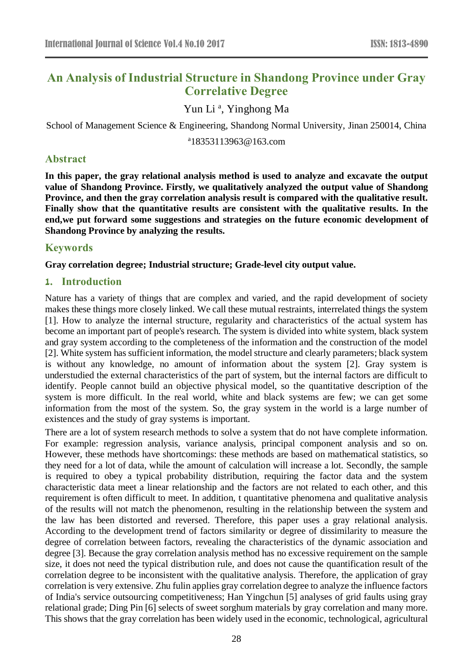# **An Analysis of Industrial Structure in Shandong Province under Gray Correlative Degree**

Yun Li<sup>a</sup>, Yinghong Ma

School of Management Science & Engineering, Shandong Normal University, Jinan 250014, China

a 18353113963@163.com

#### **Abstract**

**In this paper, the gray relational analysis method is used to analyze and excavate the output value of Shandong Province. Firstly, we qualitatively analyzed the output value of Shandong Province, and then the gray correlation analysis result is compared with the qualitative result. Finally show that the quantitative results are consistent with the qualitative results. In the end,we put forward some suggestions and strategies on the future economic development of Shandong Province by analyzing the results.**

### **Keywords**

**Gray correlation degree; Industrial structure; Grade-level city output value.**

### **1. Introduction**

Nature has a variety of things that are complex and varied, and the rapid development of society makes these things more closely linked. We call these mutual restraints, interrelated things the system [1]. How to analyze the internal structure, regularity and characteristics of the actual system has become an important part of people's research. The system is divided into white system, black system and gray system according to the completeness of the information and the construction of the model [2]. White system has sufficient information, the model structure and clearly parameters; black system is without any knowledge, no amount of information about the system [2]. Gray system is understudied the external characteristics of the part of system, but the internal factors are difficult to identify. People cannot build an objective physical model, so the quantitative description of the system is more difficult. In the real world, white and black systems are few; we can get some information from the most of the system. So, the gray system in the world is a large number of existences and the study of gray systems is important.

There are a lot of system research methods to solve a system that do not have complete information. For example: regression analysis, variance analysis, principal component analysis and so on. However, these methods have shortcomings: these methods are based on mathematical statistics, so they need for a lot of data, while the amount of calculation will increase a lot. Secondly, the sample is required to obey a typical probability distribution, requiring the factor data and the system characteristic data meet a linear relationship and the factors are not related to each other, and this requirement is often difficult to meet. In addition, t quantitative phenomena and qualitative analysis of the results will not match the phenomenon, resulting in the relationship between the system and the law has been distorted and reversed. Therefore, this paper uses a gray relational analysis. According to the development trend of factors similarity or degree of dissimilarity to measure the degree of correlation between factors, revealing the characteristics of the dynamic association and degree [3]. Because the gray correlation analysis method has no excessive requirement on the sample size, it does not need the typical distribution rule, and does not cause the quantification result of the correlation degree to be inconsistent with the qualitative analysis. Therefore, the application of gray correlation is very extensive. Zhu fulin applies gray correlation degree to analyze the influence factors of India's service outsourcing competitiveness; Han Yingchun [5] analyses of grid faults using gray relational grade; Ding Pin [6] selects of sweet sorghum materials by gray correlation and many more. This shows that the gray correlation has been widely used in the economic, technological, agricultural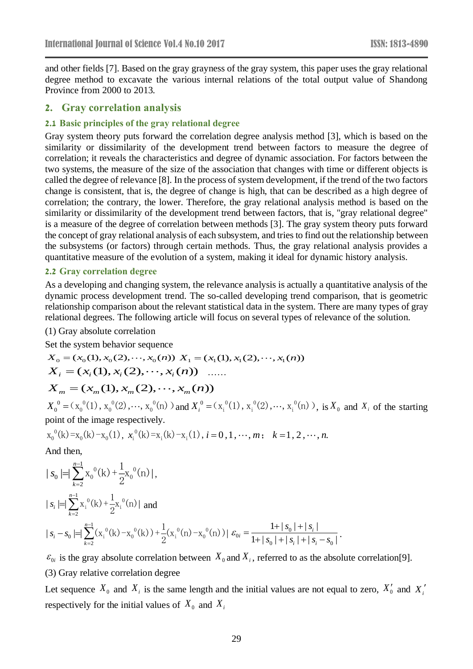and other fields [7]. Based on the gray grayness of the gray system, this paper uses the gray relational degree method to excavate the various internal relations of the total output value of Shandong Province from 2000 to 2013.

#### **2. Gray correlation analysis**

#### **2.1 Basic principles of the gray relational degree**

Gray system theory puts forward the correlation degree analysis method [3], which is based on the similarity or dissimilarity of the development trend between factors to measure the degree of correlation; it reveals the characteristics and degree of dynamic association. For factors between the two systems, the measure of the size of the association that changes with time or different objects is called the degree of relevance [8]. In the process of system development, if the trend of the two factors change is consistent, that is, the degree of change is high, that can be described as a high degree of correlation; the contrary, the lower. Therefore, the gray relational analysis method is based on the similarity or dissimilarity of the development trend between factors, that is, "gray relational degree" is a measure of the degree of correlation between methods [3]. The gray system theory puts forward the concept of gray relational analysis of each subsystem, and tries to find out the relationship between the subsystems (or factors) through certain methods. Thus, the gray relational analysis provides a quantitative measure of the evolution of a system, making it ideal for dynamic history analysis.

#### **2.2 Gray correlation degree**

As a developing and changing system, the relevance analysis is actually a quantitative analysis of the dynamic process development trend. The so-called developing trend comparison, that is geometric relationship comparison about the relevant statistical data in the system. There are many types of gray relational degrees. The following article will focus on several types of relevance of the solution.

#### (1) Gray absolute correlation

Set the system behavior sequence

$$
X_0 = (x_0(1), x_0(2), \dots, x_0(n)) X_1 = (x_1(1), x_1(2), \dots, x_1(n))
$$
  
\n
$$
X_i = (x_i(1), x_i(2), \dots, x_i(n)) \dots
$$
  
\n
$$
X_m = (x_m(1), x_m(2), \dots, x_m(n))
$$
  
\n
$$
X_0^0 = (x_0^0(1), x_0^0(2), \dots, x_0^0(n))
$$
 and 
$$
X_i^0 = (x_i^0(1), x_i^0(2), \dots, x_i^0(n))
$$
, is  $X_0$  and  $X_i$  of the starting point of the image respectively.

$$
x_0^{0}(k) = x_0(k) - x_0(1), x_1^{0}(k) = x_1(k) - x_1(1), i = 0, 1, \dots, m; k = 1, 2, \dots, n.
$$

And then,

$$
| s_0 | = \sum_{k=2}^{n-1} x_0^0(k) + \frac{1}{2} x_0^0(n) | ,
$$
  
\n
$$
| s_i | = \sum_{k=2}^{n-1} x_i^0(k) + \frac{1}{2} x_i^0(n) |
$$
 and  
\n
$$
| s_i - s_0 | = \sum_{k=2}^{n-1} (x_i^0(k) - x_0^0(k)) + \frac{1}{2} (x_i^0(n) - x_0^0(n)) | \varepsilon_{0i} = \frac{1 + |s_0| + |s_i|}{1 + |s_0| + |s_i| + |s_i - s_0|}
$$

 $\varepsilon_{0i}$  is the gray absolute correlation between  $X_0$  and  $X_i$ , referred to as the absolute correlation[9]. (3) Gray relative correlation degree

.

Let sequence  $X_0$  and  $X_i$  is the same length and the initial values are not equal to zero,  $X'_0$  and  $X'_i$ respectively for the initial values of  $X_0$  and  $X_i$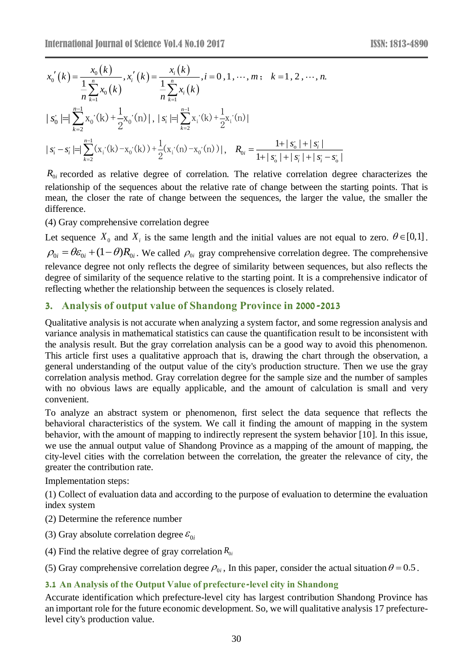$$
x'_0(k) = \frac{x_0(k)}{1 + \sum_{k=1}^{n} x_0(k)} , x'_i(k) = \frac{x_i(k)}{1 + \sum_{k=1}^{n} x_k(k)} , i = 0, 1, \dots, m; k = 1, 2, \dots, n.
$$
  
\n
$$
|s'_0| = |\sum_{k=2}^{n} x_0(k) + \frac{1}{2}x_0(k) + |\sum_{k=2}^{n} x_k(k) + \frac{1}{2}x_1(k) + \frac{1}{2}x_1(k) + |\sum_{k=2}^{n} x_k(k) + |\sum_{k=1}^{n} x_k(k) + |\sum_{k=1}^{n} x_k(k) + |\sum_{k=1}^{n} x_k(k) + |\sum_{k=1}^{n} x_k(k) + |\sum_{k=1}^{n} x_k(k) + |\sum_{k=1}^{n} x_k(k) + |\sum_{k=1}^{n} x_k(k) + |\sum_{k=1}^{n} x_k(k) + |\sum_{k=1}^{n} x_k(k) + |\sum_{k=1}^{n} x_k(k) + |\sum_{k=1}^{n} x_k(k) + |\sum_{k=1}^{n} x_k(k) + |\sum_{k=1}^{n} x_k(k) + |\sum_{k=1}^{n} x_k(k) + |\sum_{k=1}^{n} x_k(k) + |\sum_{k=1}^{n} x_k(k) + |\sum_{k=1}^{n} x_k(k) + |\sum_{k=1}^{n} x_k(k) + |\sum_{k=1}^{n} x_k(k) + |\sum_{k=1}^{n} x_k(k) + |\sum_{k=1}^{n} x_k(k) + |\sum_{k=1}^{n} x_k(k) + |\sum_{k=1}^{n} x_k(k) + |\sum_{k=1}^{n} x_k(k) + |\sum_{k=1}^{n} x_k(k) + |\sum_{k=1}^{n} x_k(k) + |\sum_{k=1}^{n} x_k(k) + |\sum_{k=1}^{n} x_k(k) + |\sum_{k=1}^{n} x_k(k) + |\sum_{k=1}^{n} x_k(k) + |\sum_{k=1}^{n} x_k(k) + |\sum_{k=1}^{n} x_k(k) + |\sum_{k=1}^{n} x_k(k) + |\sum_{k=1}^{n} x_k(k) + |\sum_{k=1}^{n} x_k(k) + |\sum_{k=1}^{n} x_k(k) + |\sum_{k=1}^{n} x_k(k) + |\sum_{k=1}^{n} x_k(k)
$$

 $R_{0i}$  recorded as relative degree of correlation. The relative correlation degree characterizes the relationship of the sequences about the relative rate of change between the starting points. That is mean, the closer the rate of change between the sequences, the larger the value, the smaller the difference.

(4) Gray comprehensive correlation degree

Let sequence  $X_0$  and  $X_i$  is the same length and the initial values are not equal to zero.  $\theta \in [0,1]$ .  $\rho_{0i} = \theta \varepsilon_{0i} + (1 - \theta) R_{0i}$ . We called  $\rho_{0i}$  gray comprehensive correlation degree. The comprehensive relevance degree not only reflects the degree of similarity between sequences, but also reflects the degree of similarity of the sequence relative to the starting point. It is a comprehensive indicator of reflecting whether the relationship between the sequences is closely related.

### **3. Analysis of output value of Shandong Province in 2000-2013**

Qualitative analysis is not accurate when analyzing a system factor, and some regression analysis and variance analysis in mathematical statistics can cause the quantification result to be inconsistent with the analysis result. But the gray correlation analysis can be a good way to avoid this phenomenon. This article first uses a qualitative approach that is, drawing the chart through the observation, a general understanding of the output value of the city's production structure. Then we use the gray correlation analysis method. Gray correlation degree for the sample size and the number of samples with no obvious laws are equally applicable, and the amount of calculation is small and very convenient.

To analyze an abstract system or phenomenon, first select the data sequence that reflects the behavioral characteristics of the system. We call it finding the amount of mapping in the system behavior, with the amount of mapping to indirectly represent the system behavior [10]. In this issue, we use the annual output value of Shandong Province as a mapping of the amount of mapping, the city-level cities with the correlation between the correlation, the greater the relevance of city, the greater the contribution rate.

Implementation steps:

(1) Collect of evaluation data and according to the purpose of evaluation to determine the evaluation index system

- (2) Determine the reference number
- (3) Gray absolute correlation degree  $\varepsilon_{0i}$
- (4) Find the relative degree of gray correlation  $R_{0i}$

(5) Gray comprehensive correlation degree  $\rho_{0i}$ , In this paper, consider the actual situation  $\theta = 0.5$ .

### **3.1 An Analysis of the Output Value of prefecture-level city in Shandong**

Accurate identification which prefecture-level city has largest contribution Shandong Province has an important role for the future economic development. So, we will qualitative analysis 17 prefecturelevel city's production value.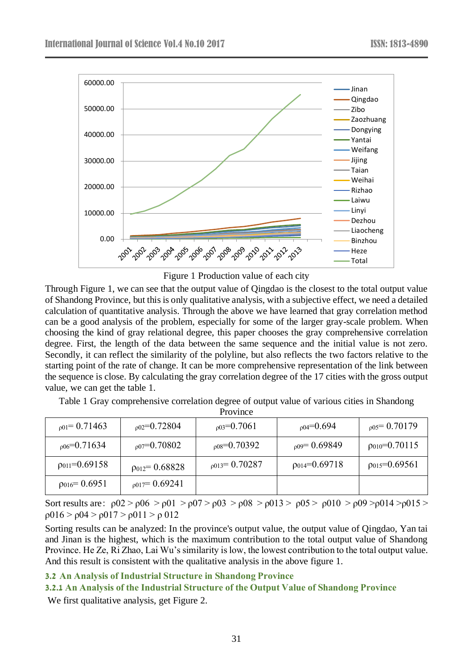

Figure 1 Production value of each city

Through Figure 1, we can see that the output value of Qingdao is the closest to the total output value of Shandong Province, but this is only qualitative analysis, with a subjective effect, we need a detailed calculation of quantitative analysis. Through the above we have learned that gray correlation method can be a good analysis of the problem, especially for some of the larger gray-scale problem. When choosing the kind of gray relational degree, this paper chooses the gray comprehensive correlation degree. First, the length of the data between the same sequence and the initial value is not zero. Secondly, it can reflect the similarity of the polyline, but also reflects the two factors relative to the starting point of the rate of change. It can be more comprehensive representation of the link between the sequence is close. By calculating the gray correlation degree of the 17 cities with the gross output value, we can get the table 1.

| TIVILIU.              |                        |                      |                     |                        |
|-----------------------|------------------------|----------------------|---------------------|------------------------|
| $_{001}$ = 0.71463    | $_{002}=0.72804$       | $_{003}$ =0.7061     | $_{p04}$ =0.694     | $_{0.05}$ = 0.70179    |
| $_{006}$ =0.71634     | $_{007}$ =0.70802      | $_{008}$ =0.70392    | $_{0.09}$ = 0.69849 | $\rho_{010} = 0.70115$ |
| $p_{011} = 0.69158$   | $\rho_{012} = 0.68828$ | $_{0.013}$ = 0.70287 | $p_{014} = 0.69718$ | $p_{015} = 0.69561$    |
| $\rho_{016} = 0.6951$ | $_{p017}$ = 0.69241    |                      |                     |                        |

Table 1 Gray comprehensive correlation degree of output value of various cities in Shandong Province

Sort results are:  $\rho 02 > \rho 06 > \rho 01 > \rho 07 > \rho 03 > \rho 08 > \rho 013 > \rho 05 > \rho 010 > \rho 09 > \rho 014 > \rho 015 >$ ρ016 > ρ04 > ρ017 > ρ011 > ρ 012

Sorting results can be analyzed: In the province's output value, the output value of Qingdao, Yan tai and Jinan is the highest, which is the maximum contribution to the total output value of Shandong Province. He Ze, Ri Zhao, Lai Wu's similarity is low, the lowest contribution to the total output value. And this result is consistent with the qualitative analysis in the above figure 1.

### **3.2 An Analysis of Industrial Structure in Shandong Province**

#### **3.2.1 An Analysis of the Industrial Structure of the Output Value of Shandong Province**

We first qualitative analysis, get Figure 2.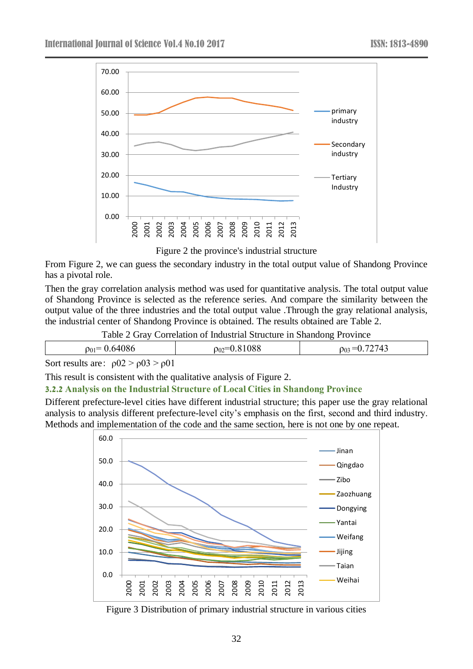

Figure 2 the province's industrial structure

From Figure 2, we can guess the secondary industry in the total output value of Shandong Province has a pivotal role.

Then the gray correlation analysis method was used for quantitative analysis. The total output value of Shandong Province is selected as the reference series. And compare the similarity between the output value of the three industries and the total output value .Through the gray relational analysis, the industrial center of Shandong Province is obtained. The results obtained are Table 2.

Table 2 Gray Correlation of Industrial Structure in Shandong Province

| OC.<br>ັບ | -17<br>ے ں ۔ | $0_0$ |
|-----------|--------------|-------|
|           |              |       |

Sort results are:  $\rho 02 > \rho 03 > \rho 01$ 

This result is consistent with the qualitative analysis of Figure 2.

### **3.2.2 Analysis on the Industrial Structure of Local Cities in Shandong Province**

Different prefecture-level cities have different industrial structure; this paper use the gray relational analysis to analysis different prefecture-level city's emphasis on the first, second and third industry. Methods and implementation of the code and the same section, here is not one by one repeat.



Figure 3 Distribution of primary industrial structure in various cities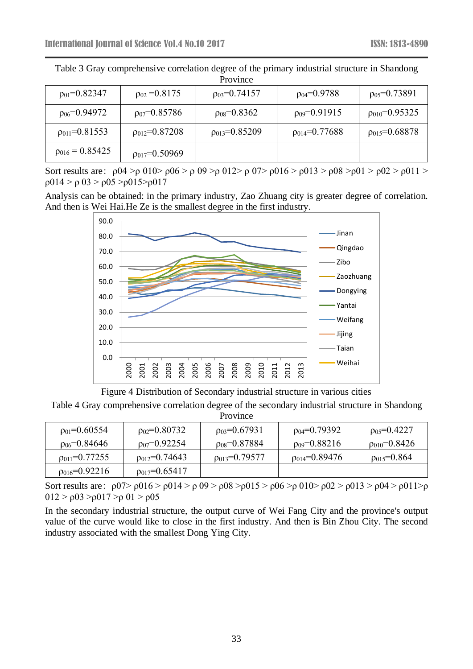| $p_{01} = 0.82347$  | $p_{02} = 0.8175$   | $p_{03} = 0.74157$  | $p_{04} = 0.9788$   | $p_{05} = 0.73891$  |
|---------------------|---------------------|---------------------|---------------------|---------------------|
| $p_{06} = 0.94972$  | $p_{07} = 0.85786$  | $p_{08}=0.8362$     | $p_{09} = 0.91915$  | $p_{010} = 0.95325$ |
| $p_{011} = 0.81553$ | $p_{012}=0.87208$   | $p_{013} = 0.85209$ | $p_{014} = 0.77688$ | $p_{015} = 0.68878$ |
| $p_{016} = 0.85425$ | $p_{017} = 0.50969$ |                     |                     |                     |

Table 3 Gray comprehensive correlation degree of the primary industrial structure in Shandong

Sort results are:  $\rho$ 04 >ρ 010>  $\rho$ 06 >  $\rho$  09 >ρ 012>  $\rho$  07>  $\rho$ 016 >  $\rho$ 013 >  $\rho$ 08 > $\rho$ 01 >  $\rho$ 02 >  $\rho$ 011 > ρ014 > ρ 03 > ρ05 >ρ015>ρ017

Analysis can be obtained: in the primary industry, Zao Zhuang city is greater degree of correlation. And then is Wei Hai.He Ze is the smallest degree in the first industry.



Figure 4 Distribution of Secondary industrial structure in various cities

Table 4 Gray comprehensive correlation degree of the secondary industrial structure in Shandong Province

| $p_{01} = 0.60554$    | $p_{02} = 0.80732$    | $p_{03} = 0.67931$    | $p_{04} = 0.79392$  | $p_{05} = 0.4227$ |
|-----------------------|-----------------------|-----------------------|---------------------|-------------------|
| $\rho_{06} = 0.84646$ | $p_{07} = 0.92254$    | $\rho_{08} = 0.87884$ | $p_{09} = 0.88216$  | $p_{010}$ =0.8426 |
| $p_{011} = 0.77255$   | $p_{012}=0.74643$     | $p_{013}$ =0.79577    | $p_{014} = 0.89476$ | $p_{015}=0.864$   |
| $p_{016} = 0.92216$   | $\rho_{017}$ =0.65417 |                       |                     |                   |

Sort results are:  $\rho$ 07>  $\rho$ 016 >  $\rho$ 014 >  $\rho$  09 >  $\rho$ 08 >  $\rho$ 015 >  $\rho$ 06 >  $\rho$  010 >  $\rho$ 02 >  $\rho$ 013 >  $\rho$ 04 >  $\rho$ 011 >  $\rho$  $012 > ρ$ 03 >ρ017 >ρ 01 > ρ05

In the secondary industrial structure, the output curve of Wei Fang City and the province's output value of the curve would like to close in the first industry. And then is Bin Zhou City. The second industry associated with the smallest Dong Ying City.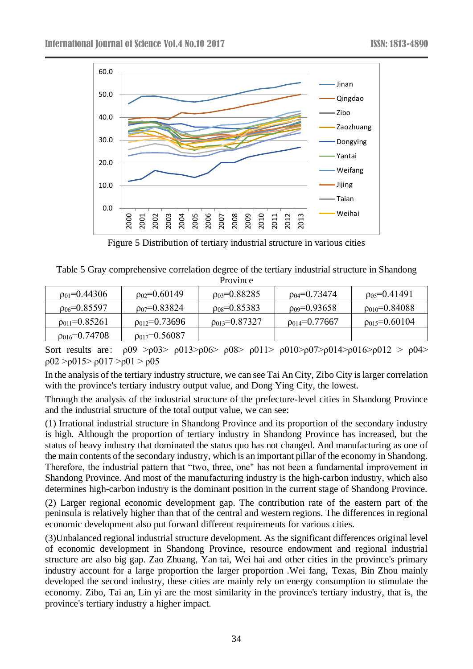

Figure 5 Distribution of tertiary industrial structure in various cities

Table 5 Gray comprehensive correlation degree of the tertiary industrial structure in Shandong Province

| $p_{01} = 0.44306$    | $p_{02}=0.60149$      | $p_{03} = 0.88285$  | $p_{04} = 0.73474$  | $p_{05}=0.41491$       |
|-----------------------|-----------------------|---------------------|---------------------|------------------------|
| $p_{06} = 0.85597$    | $p_{07} = 0.83824$    | $p_{08}=0.85383$    | $p_{09} = 0.93658$  | $p_{010} = 0.84088$    |
| $p_{011} = 0.85261$   | $p_{012}$ =0.73696    | $p_{013} = 0.87327$ | $p_{014} = 0.77667$ | $\rho_{015} = 0.60104$ |
| $\rho_{016}$ =0.74708 | $\rho_{017}$ =0.56087 |                     |                     |                        |

Sort results are:  $\rho$ 09 > $\rho$ 03>  $\rho$ 013> $\rho$ 06>  $\rho$ 08>  $\rho$ 011>  $\rho$ 010> $\rho$ 07> $\rho$ 014> $\rho$ 016> $\rho$ 012 >  $\rho$ 04> ρ02 >ρ015> ρ017 >ρ01 > ρ05

In the analysis of the tertiary industry structure, we can see Tai An City, Zibo City is larger correlation with the province's tertiary industry output value, and Dong Ying City, the lowest.

Through the analysis of the industrial structure of the prefecture-level cities in Shandong Province and the industrial structure of the total output value, we can see:

(1) Irrational industrial structure in Shandong Province and its proportion of the secondary industry is high. Although the proportion of tertiary industry in Shandong Province has increased, but the status of heavy industry that dominated the status quo has not changed. And manufacturing as one of the main contents of the secondary industry, which is an important pillar of the economy in Shandong. Therefore, the industrial pattern that "two, three, one" has not been a fundamental improvement in Shandong Province. And most of the manufacturing industry is the high-carbon industry, which also determines high-carbon industry is the dominant position in the current stage of Shandong Province.

(2) Larger regional economic development gap. The contribution rate of the eastern part of the peninsula is relatively higher than that of the central and western regions. The differences in regional economic development also put forward different requirements for various cities.

(3)Unbalanced regional industrial structure development. As the significant differences original level of economic development in Shandong Province, resource endowment and regional industrial structure are also big gap. Zao Zhuang, Yan tai, Wei hai and other cities in the province's primary industry account for a large proportion the larger proportion .Wei fang, Texas, Bin Zhou mainly developed the second industry, these cities are mainly rely on energy consumption to stimulate the economy. Zibo, Tai an, Lin yi are the most similarity in the province's tertiary industry, that is, the province's tertiary industry a higher impact.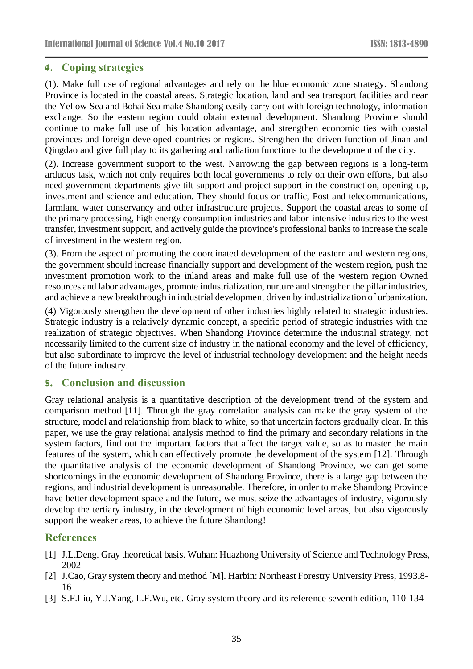# **4. Coping strategies**

(1). Make full use of regional advantages and rely on the blue economic zone strategy. Shandong Province is located in the coastal areas. Strategic location, land and sea transport facilities and near the Yellow Sea and Bohai Sea make Shandong easily carry out with foreign technology, information exchange. So the eastern region could obtain external development. Shandong Province should continue to make full use of this location advantage, and strengthen economic ties with coastal provinces and foreign developed countries or regions. Strengthen the driven function of Jinan and Qingdao and give full play to its gathering and radiation functions to the development of the city.

(2). Increase government support to the west. Narrowing the gap between regions is a long-term arduous task, which not only requires both local governments to rely on their own efforts, but also need government departments give tilt support and project support in the construction, opening up, investment and science and education. They should focus on traffic, Post and telecommunications, farmland water conservancy and other infrastructure projects. Support the coastal areas to some of the primary processing, high energy consumption industries and labor-intensive industries to the west transfer, investment support, and actively guide the province's professional banks to increase the scale of investment in the western region.

(3). From the aspect of promoting the coordinated development of the eastern and western regions, the government should increase financially support and development of the western region, push the investment promotion work to the inland areas and make full use of the western region Owned resources and labor advantages, promote industrialization, nurture and strengthen the pillar industries, and achieve a new breakthrough in industrial development driven by industrialization of urbanization.

(4) Vigorously strengthen the development of other industries highly related to strategic industries. Strategic industry is a relatively dynamic concept, a specific period of strategic industries with the realization of strategic objectives. When Shandong Province determine the industrial strategy, not necessarily limited to the current size of industry in the national economy and the level of efficiency, but also subordinate to improve the level of industrial technology development and the height needs of the future industry.

# **5. Conclusion and discussion**

Gray relational analysis is a quantitative description of the development trend of the system and comparison method [11]. Through the gray correlation analysis can make the gray system of the structure, model and relationship from black to white, so that uncertain factors gradually clear. In this paper, we use the gray relational analysis method to find the primary and secondary relations in the system factors, find out the important factors that affect the target value, so as to master the main features of the system, which can effectively promote the development of the system [12]. Through the quantitative analysis of the economic development of Shandong Province, we can get some shortcomings in the economic development of Shandong Province, there is a large gap between the regions, and industrial development is unreasonable. Therefore, in order to make Shandong Province have better development space and the future, we must seize the advantages of industry, vigorously develop the tertiary industry, in the development of high economic level areas, but also vigorously support the weaker areas, to achieve the future Shandong!

# **References**

- [1] J.L.Deng. Gray theoretical basis. Wuhan: Huazhong University of Science and Technology Press, 2002
- [2] J.Cao, Gray system theory and method [M]. Harbin: Northeast Forestry University Press, 1993.8- 16
- [3] S.F.Liu, Y.J.Yang, L.F.Wu, etc. Gray system theory and its reference seventh edition, 110-134